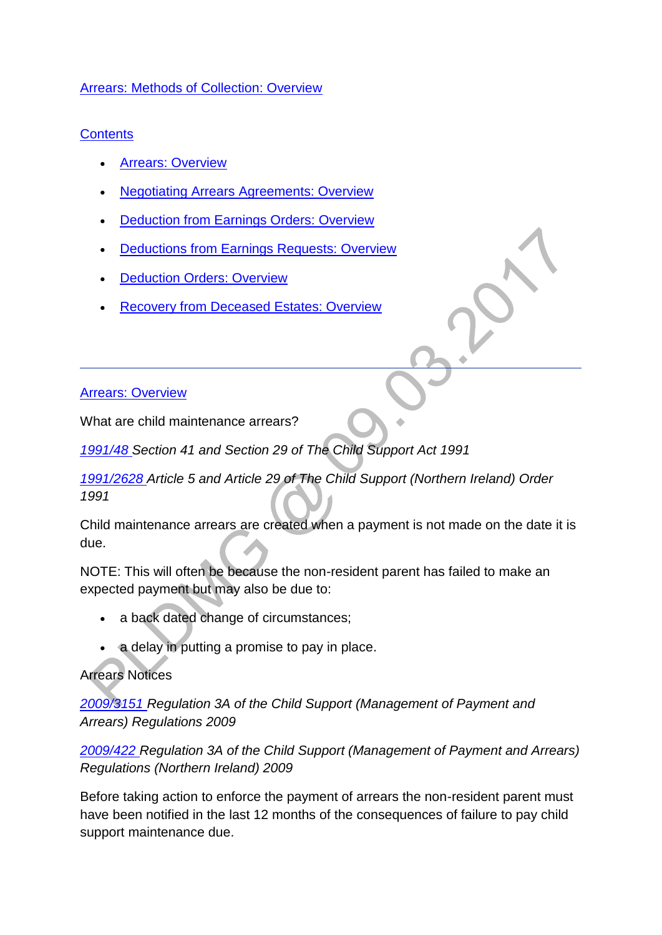#### [Arrears: Methods of Collection: Overview](http://np-cmg-sharepoint.link2.gpn.gov.uk/sites/policy-law-and-decision-making-guidance/Pages/Arrears/Arrears-Method-of-Collection-Overview.aspx)

# **Contents**

- **[Arrears: Overview](http://np-cmg-sharepoint.link2.gpn.gov.uk/sites/policy-law-and-decision-making-guidance/Pages/Arrears/Arrears-Method-of-Collection-Overview.aspx#arrearsoverview)**
- [Negotiating Arrears Agreements: Overview](http://np-cmg-sharepoint.link2.gpn.gov.uk/sites/policy-law-and-decision-making-guidance/Pages/Arrears/Arrears-Method-of-Collection-Overview.aspx#negotiatingarrearsarrangements)
- [Deduction from Earnings Orders: Overview](http://np-cmg-sharepoint.link2.gpn.gov.uk/sites/policy-law-and-decision-making-guidance/Pages/Arrears/Arrears-Method-of-Collection-Overview.aspx#DEOoverview)
- [Deductions from Earnings Requests: Overview](http://np-cmg-sharepoint.link2.gpn.gov.uk/sites/policy-law-and-decision-making-guidance/Pages/Arrears/Arrears-Method-of-Collection-Overview.aspx#DERoverview)
- [Deduction Orders: Overview](http://np-cmg-sharepoint.link2.gpn.gov.uk/sites/policy-law-and-decision-making-guidance/Pages/Arrears/Arrears-Method-of-Collection-Overview.aspx#DOoverview)
- [Recovery from Deceased Estates: Overview](http://np-cmg-sharepoint.link2.gpn.gov.uk/sites/policy-law-and-decision-making-guidance/Pages/Arrears/Arrears-Method-of-Collection-Overview.aspx#deceasedestate)

# [Arrears: Overview](http://np-cmg-sharepoint.link2.gpn.gov.uk/sites/policy-law-and-decision-making-guidance/Pages/Arrears/Arrears-Method-of-Collection-Overview.aspx)

What are child maintenance arrears?

*[1991/48 S](http://www.legislation.gov.uk/ukpga/1991/48)ection 41 and Section 29 of The Child Support Act 1991* 

*[1991/2628 A](http://www.legislation.gov.uk/nisi/1991/2628/contents)rticle 5 and Article 29 of The Child Support (Northern Ireland) Order 1991*

Child maintenance arrears are created when a payment is not made on the date it is due.

NOTE: This will often be because the non-resident parent has failed to make an expected payment but may also be due to:

- a back dated change of circumstances;
- a delay in putting a promise to pay in place.

# Arrears Notices

*[2009/3151 R](http://www.legislation.gov.uk/uksi/2009/3151/contents)egulation 3A of the Child Support (Management of Payment and Arrears) Regulations 2009*

*[2009/422 R](http://www.legislation.gov.uk/nisr/2009/422/contents/made)egulation 3A of the Child Support (Management of Payment and Arrears) Regulations (Northern Ireland) 2009*

Before taking action to enforce the payment of arrears the non-resident parent must have been notified in the last 12 months of the consequences of failure to pay child support maintenance due.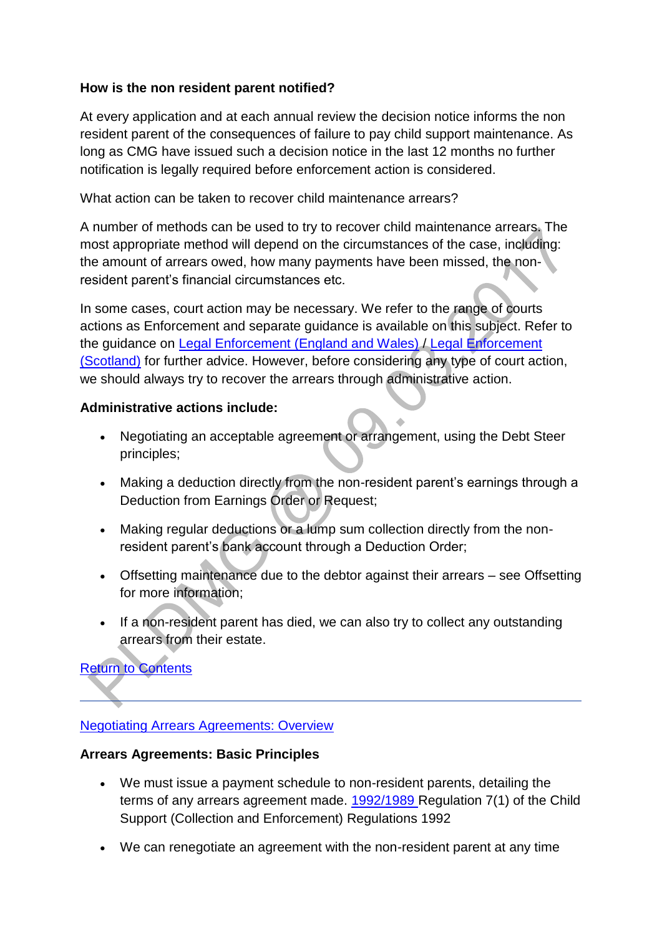#### **How is the non resident parent notified?**

At every application and at each annual review the decision notice informs the non resident parent of the consequences of failure to pay child support maintenance. As long as CMG have issued such a decision notice in the last 12 months no further notification is legally required before enforcement action is considered.

What action can be taken to recover child maintenance arrears?

A number of methods can be used to try to recover child maintenance arrears. The most appropriate method will depend on the circumstances of the case, including: the amount of arrears owed, how many payments have been missed, the nonresident parent's financial circumstances etc.

In some cases, court action may be necessary. We refer to the range of courts actions as Enforcement and separate guidance is available on this subject. Refer to the guidance on [Legal Enforcement \(England and Wales\)](http://np-cmg-sharepoint.link2.gpn.gov.uk/sites/policy-law-and-decision-making-guidance/Pages/Legal%20Enforcement%20-%20England%20and%20Wales/Legal-Enforcement---England-and-Wales---Overview.aspx) / [Legal Enforcement](http://np-cmg-sharepoint.link2.gpn.gov.uk/sites/policy-law-and-decision-making-guidance/Pages/Legal%20Enforcement%20-%20Scotland/Legal-Enforcement-%28Scotland%29-Overview-.aspx)  [\(Scotland\)](http://np-cmg-sharepoint.link2.gpn.gov.uk/sites/policy-law-and-decision-making-guidance/Pages/Legal%20Enforcement%20-%20Scotland/Legal-Enforcement-%28Scotland%29-Overview-.aspx) for further advice. However, before considering any type of court action, we should always try to recover the arrears through administrative action.

#### **Administrative actions include:**

- Negotiating an acceptable agreement or arrangement, using the Debt Steer principles;
- Making a deduction directly from the non-resident parent's earnings through a Deduction from Earnings Order or Request;
- Making regular deductions or a lump sum collection directly from the nonresident parent's bank account through a Deduction Order;
- Offsetting maintenance due to the debtor against their arrears see Offsetting for more information;
- If a non-resident parent has died, we can also try to collect any outstanding arrears from their estate.

[Return to Contents](http://np-cmg-sharepoint.link2.gpn.gov.uk/sites/policy-law-and-decision-making-guidance/Pages/Arrears/Arrears-Method-of-Collection-Overview.aspx#contents) 

#### [Negotiating Arrears Agreements: Overview](http://np-cmg-sharepoint.link2.gpn.gov.uk/sites/policy-law-and-decision-making-guidance/Pages/Arrears/Arrears-Method-of-Collection-Overview.aspx)

#### **Arrears Agreements: Basic Principles**

- We must issue a payment schedule to non-resident parents, detailing the terms of any arrears agreement made. [1992/1989 R](http://www.legislation.gov.uk/uksi/1992/1989)egulation 7(1) of the Child Support (Collection and Enforcement) Regulations 1992
- We can renegotiate an agreement with the non-resident parent at any time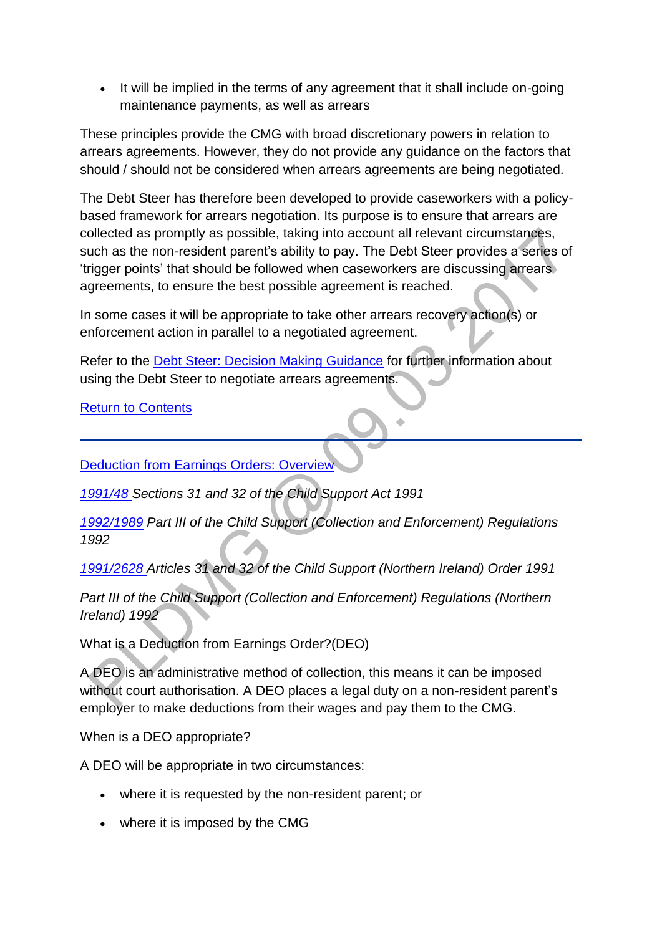• It will be implied in the terms of any agreement that it shall include on-going maintenance payments, as well as arrears

These principles provide the CMG with broad discretionary powers in relation to arrears agreements. However, they do not provide any guidance on the factors that should / should not be considered when arrears agreements are being negotiated.

The Debt Steer has therefore been developed to provide caseworkers with a policybased framework for arrears negotiation. Its purpose is to ensure that arrears are collected as promptly as possible, taking into account all relevant circumstances, such as the non-resident parent's ability to pay. The Debt Steer provides a series of 'trigger points' that should be followed when caseworkers are discussing arrears agreements, to ensure the best possible agreement is reached.

In some cases it will be appropriate to take other arrears recovery action(s) or enforcement action in parallel to a negotiated agreement.

Refer to the [Debt Steer: Decision Making Guidance](http://np-cmg-sharepoint.link2.gpn.gov.uk/sites/policy-law-and-decision-making-guidance/Pages/Arrears%20MOC/DMG-Debt-Steer.aspx) for further information about using the Debt Steer to negotiate arrears agreements.

[Return to Contents](http://np-cmg-sharepoint.link2.gpn.gov.uk/sites/policy-law-and-decision-making-guidance/Pages/Arrears/Arrears-Method-of-Collection-Overview.aspx#contents)

[Deduction from Earnings Orders: Overview](http://np-cmg-sharepoint.link2.gpn.gov.uk/sites/policy-law-and-decision-making-guidance/Pages/Arrears/Arrears-Method-of-Collection-Overview.aspx) 

*[1991/48 S](http://www.legislation.gov.uk/ukpga/1991/48)ections 31 and 32 of the Child Support Act 1991*

*[1992/1989](http://www.legislation.gov.uk/uksi/1992/1989) Part III of the Child Support (Collection and Enforcement) Regulations 1992*

*[1991/2628 A](http://www.legislation.gov.uk/nisi/1991/2628/contents)rticles 31 and 32 of the Child Support (Northern Ireland) Order 1991* 

**Part III of the Child Support (Collection and Enforcement) Regulations (Northern** *Ireland) 1992*

What is a Deduction from Earnings Order?(DEO)

A DEO is an administrative method of collection, this means it can be imposed without court authorisation. A DEO places a legal duty on a non-resident parent's employer to make deductions from their wages and pay them to the CMG.

When is a DEO appropriate?

A DEO will be appropriate in two circumstances:

- where it is requested by the non-resident parent; or
- where it is imposed by the CMG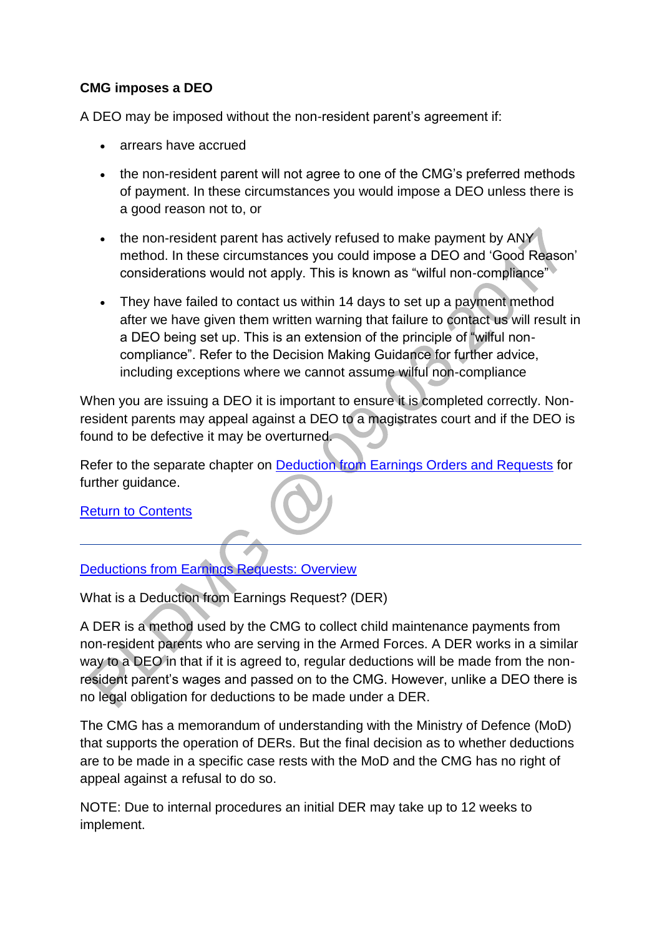# **CMG imposes a DEO**

A DEO may be imposed without the non-resident parent's agreement if:

- arrears have accrued
- the non-resident parent will not agree to one of the CMG's preferred methods of payment. In these circumstances you would impose a DEO unless there is a good reason not to, or
- the non-resident parent has actively refused to make payment by ANY method. In these circumstances you could impose a DEO and 'Good Reason' considerations would not apply. This is known as "wilful non-compliance"
- They have failed to contact us within 14 days to set up a payment method after we have given them written warning that failure to contact us will result in a DEO being set up. This is an extension of the principle of "wilful noncompliance". Refer to the Decision Making Guidance for further advice, including exceptions where we cannot assume wilful non-compliance

When you are issuing a DEO it is important to ensure it is completed correctly. Nonresident parents may appeal against a DEO to a magistrates court and if the DEO is found to be defective it may be overturned.

Refer to the separate chapter on [Deduction from Earnings Orders and Requests](http://np-cmg-sharepoint.link2.gpn.gov.uk/sites/policy-law-and-decision-making-guidance/Pages/Arrears%20MOC/DEOs-and-DERs-DMG.aspx) for further quidance.

[Return to Contents](http://np-cmg-sharepoint.link2.gpn.gov.uk/sites/policy-law-and-decision-making-guidance/Pages/Arrears/Arrears-Method-of-Collection-Overview.aspx#contents)

#### [Deductions from Earnings Requests: Overview](http://np-cmg-sharepoint.link2.gpn.gov.uk/sites/policy-law-and-decision-making-guidance/Pages/Arrears/Arrears-Method-of-Collection-Overview.aspx)

What is a Deduction from Earnings Request? (DER)

A DER is a method used by the CMG to collect child maintenance payments from non-resident parents who are serving in the Armed Forces. A DER works in a similar way to a DEO in that if it is agreed to, regular deductions will be made from the nonresident parent's wages and passed on to the CMG. However, unlike a DEO there is no legal obligation for deductions to be made under a DER.

The CMG has a memorandum of understanding with the Ministry of Defence (MoD) that supports the operation of DERs. But the final decision as to whether deductions are to be made in a specific case rests with the MoD and the CMG has no right of appeal against a refusal to do so.

NOTE: Due to internal procedures an initial DER may take up to 12 weeks to implement.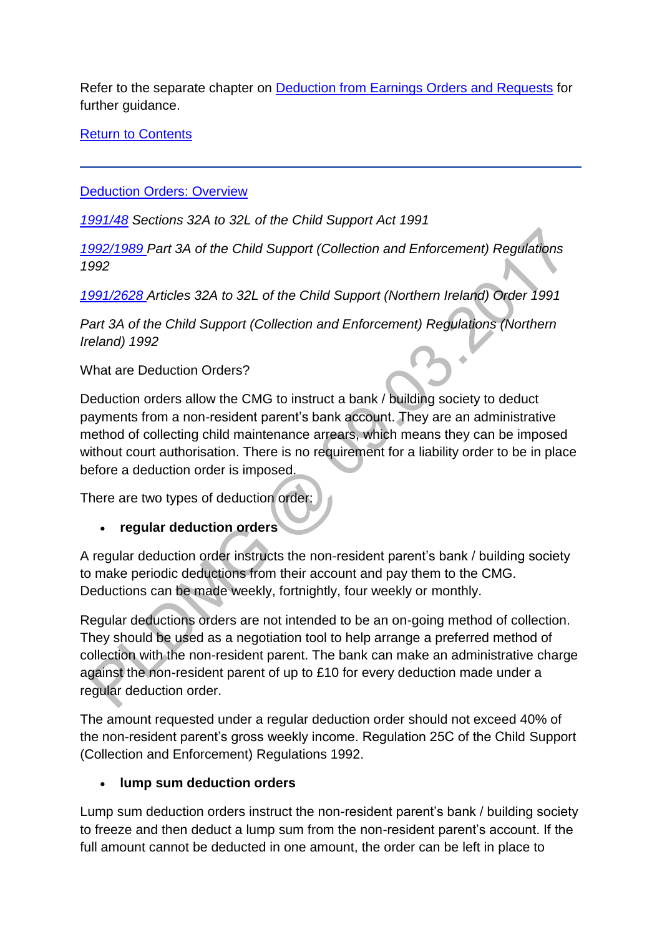Refer to the separate chapter on [Deduction from Earnings Orders and Requests](http://np-cmg-sharepoint.link2.gpn.gov.uk/sites/policy-law-and-decision-making-guidance/Pages/Arrears%20MOC/DEOs-and-DERs-DMG.aspx) for further guidance.

[Return to Contents](http://np-cmg-sharepoint.link2.gpn.gov.uk/sites/policy-law-and-decision-making-guidance/Pages/Arrears/Arrears-Method-of-Collection-Overview.aspx#contents)

[Deduction Orders: Overview](http://np-cmg-sharepoint.link2.gpn.gov.uk/sites/policy-law-and-decision-making-guidance/Pages/Arrears/Arrears-Method-of-Collection-Overview.aspx)

*[1991/48](http://www.legislation.gov.uk/ukpga/1991/48) Sections 32A to 32L of the Child Support Act 1991*

*[1992/1989 P](http://www.legislation.gov.uk/uksi/1992/1989)art 3A of the Child Support (Collection and Enforcement) Regulations 1992*

*[1991/2628 A](http://www.legislation.gov.uk/nisi/1991/2628/contents)rticles 32A to 32L of the Child Support (Northern Ireland) Order 1991* 

*Part 3A of the Child Support (Collection and Enforcement) Regulations (Northern Ireland) 1992*

What are Deduction Orders?

Deduction orders allow the CMG to instruct a bank / building society to deduct payments from a non-resident parent's bank account. They are an administrative method of collecting child maintenance arrears, which means they can be imposed without court authorisation. There is no requirement for a liability order to be in place before a deduction order is imposed.

There are two types of deduction order:

**regular deduction orders**

A regular deduction order instructs the non-resident parent's bank / building society to make periodic deductions from their account and pay them to the CMG. Deductions can be made weekly, fortnightly, four weekly or monthly.

Regular deductions orders are not intended to be an on-going method of collection. They should be used as a negotiation tool to help arrange a preferred method of collection with the non-resident parent. The bank can make an administrative charge against the non-resident parent of up to £10 for every deduction made under a regular deduction order.

The amount requested under a regular deduction order should not exceed 40% of the non-resident parent's gross weekly income. Regulation 25C of the Child Support (Collection and Enforcement) Regulations 1992.

# **lump sum deduction orders**

Lump sum deduction orders instruct the non-resident parent's bank / building society to freeze and then deduct a lump sum from the non-resident parent's account. If the full amount cannot be deducted in one amount, the order can be left in place to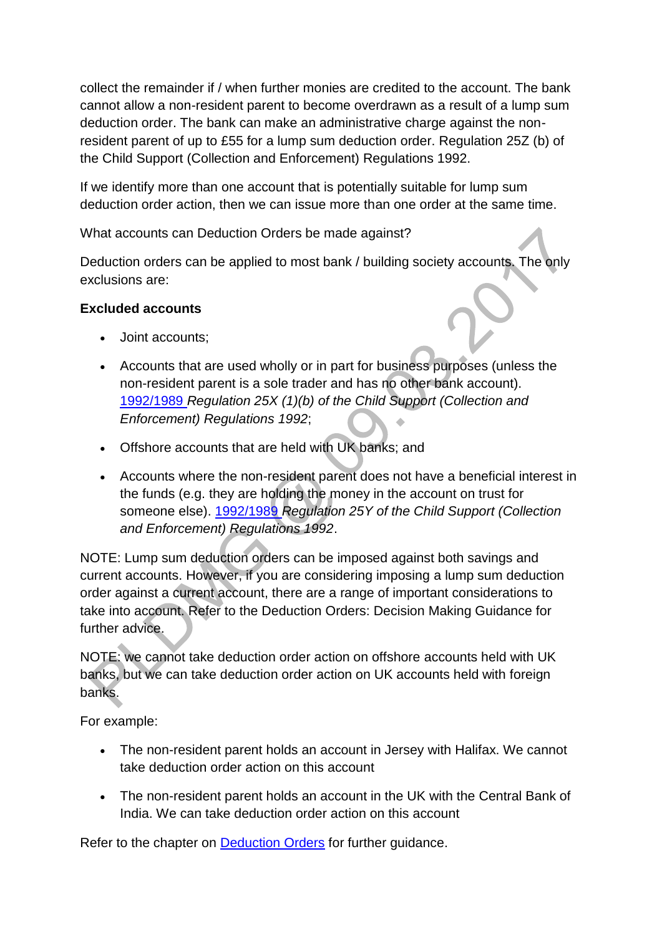collect the remainder if / when further monies are credited to the account. The bank cannot allow a non-resident parent to become overdrawn as a result of a lump sum deduction order. The bank can make an administrative charge against the nonresident parent of up to £55 for a lump sum deduction order. Regulation 25Z (b) of the Child Support (Collection and Enforcement) Regulations 1992.

If we identify more than one account that is potentially suitable for lump sum deduction order action, then we can issue more than one order at the same time.

What accounts can Deduction Orders be made against?

Deduction orders can be applied to most bank / building society accounts. The only exclusions are:

# **Excluded accounts**

- Joint accounts;
- Accounts that are used wholly or in part for business purposes (unless the non-resident parent is a sole trader and has no other bank account). [1992/1989](http://www.legislation.gov.uk/uksi/1992/1989) *Regulation 25X (1)(b) of the Child Support (Collection and Enforcement) Regulations 1992*;
- Offshore accounts that are held with UK banks; and
- Accounts where the non-resident parent does not have a beneficial interest in the funds (e.g. they are holding the money in the account on trust for someone else). [1992/1989](http://www.legislation.gov.uk/uksi/1992/1989) *Regulation 25Y of the Child Support (Collection and Enforcement) Regulations 1992*.

NOTE: Lump sum deduction orders can be imposed against both savings and current accounts. However, if you are considering imposing a lump sum deduction order against a current account, there are a range of important considerations to take into account. Refer to the Deduction Orders: Decision Making Guidance for further advice.

NOTE: we cannot take deduction order action on offshore accounts held with UK banks, but we can take deduction order action on UK accounts held with foreign banks.

For example:

- The non-resident parent holds an account in Jersey with Halifax. We cannot take deduction order action on this account
- The non-resident parent holds an account in the UK with the Central Bank of India. We can take deduction order action on this account

Refer to the chapter on **Deduction Orders** for further guidance.